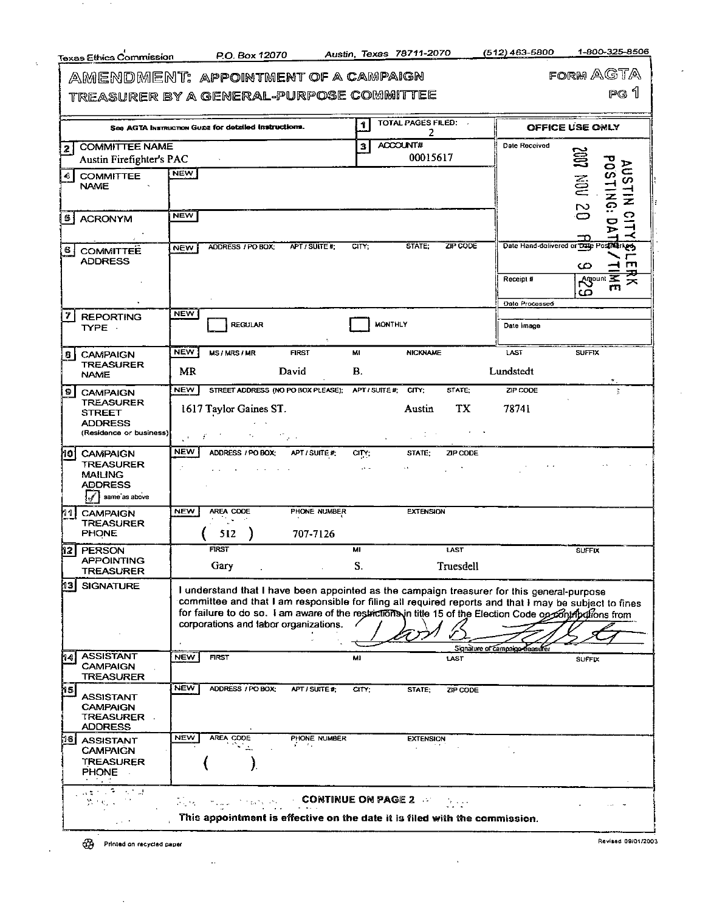|                                                                                                              | AMENDMENT: APPOINTMENT OF A CAMPAIGN<br>TREASURER BY A GENERAL-PURPOSE COMMITTEE                                                                                                                                                                                                                                                                          |                                                                      | form AGTA<br>pg 1                                                  |  |
|--------------------------------------------------------------------------------------------------------------|-----------------------------------------------------------------------------------------------------------------------------------------------------------------------------------------------------------------------------------------------------------------------------------------------------------------------------------------------------------|----------------------------------------------------------------------|--------------------------------------------------------------------|--|
|                                                                                                              | See AGTA Instruction Guing for detailed instructions.                                                                                                                                                                                                                                                                                                     | TOTAL PAGES FILED:<br>1<br>2                                         | OFFICE USE ONLY                                                    |  |
| 2 COMMITTEE NAME<br>Austin Firefighter's PAC                                                                 |                                                                                                                                                                                                                                                                                                                                                           | ACCOUNT#<br>3<br>00015617                                            | Date Recoived<br>g                                                 |  |
| 4 COMMITTEE<br><b>NAME</b>                                                                                   | <b>NEW</b>                                                                                                                                                                                                                                                                                                                                                |                                                                      | AUSTIN CITY<br><b>NOU 20</b>                                       |  |
| SI.<br><b>ACRONYM</b>                                                                                        | <b>NEW</b>                                                                                                                                                                                                                                                                                                                                                |                                                                      |                                                                    |  |
| 6  <br><b>COMMITTEE</b><br><b>ADDRESS</b>                                                                    | ADDRESS / PO BOX:<br>APT / SUITE #:<br><b>NEW</b>                                                                                                                                                                                                                                                                                                         | ZIP CODE<br>CTY<br>STATE:                                            | Date Hand-delivered or Date PostMarked<br>m<br>ယ                   |  |
|                                                                                                              |                                                                                                                                                                                                                                                                                                                                                           |                                                                      | ⋥<br><b>Agount 三</b><br>Receipt #<br>≍<br>m<br>ص<br>Date Processed |  |
| 7<br><b>REPORTING</b><br>TYPE -                                                                              | <b>NEW</b><br><b>REGULAR</b>                                                                                                                                                                                                                                                                                                                              | <b>MONTHLY</b>                                                       | Date Image                                                         |  |
| $\mathbf{B}$<br><b>CAMPAIGN</b><br><b>TREASURER</b><br><b>NAME</b>                                           | <b>NEW</b><br><b>MS/MRS/MR</b><br><b>FIRST</b><br>David<br>МR                                                                                                                                                                                                                                                                                             | MI<br><b>NICKNAME</b><br>В.                                          | <b>LAST</b><br><b>SUFFIX</b><br>Lundstedt                          |  |
| $\overline{9}$<br><b>CAMPAIGN</b><br>TREASURER<br><b>STREET</b><br><b>ADDRESS</b><br>(Residence or business) | STREET ADDRESS (NO PO BOX PLEASE); APT / SUITE #; CITY;<br><b>NEW</b><br>1617 Taylor Gaines ST.<br>٠.                                                                                                                                                                                                                                                     | <b>STATE:</b><br><b>TX</b><br>Austin                                 | ZIP CODE<br>ĉ,<br>78741                                            |  |
| lo <br><b>CAMPAIGN</b><br><b>TREASURER</b><br><b>MAILING</b><br><b>ADDRESS</b><br>same as above              | <b>NEW</b><br>ADDRESS / PO BOX;<br>APT / SUITE #                                                                                                                                                                                                                                                                                                          | CITY,<br>STATE.<br>ZIP CODE                                          |                                                                    |  |
| หง <br><b>CAMPAIGN</b><br><b>TREASURER</b><br><b>PHONE</b>                                                   | <b>NEW</b><br>AREA CODE<br>PHONE NUMBER<br>512<br>707-7126                                                                                                                                                                                                                                                                                                | <b>EXTENSION</b>                                                     |                                                                    |  |
| n2<br>PERSON<br><b>APPOINTING</b><br><b>TREASURER</b>                                                        | <b>FIRST</b><br>Gary                                                                                                                                                                                                                                                                                                                                      | MI<br>LAST<br>S.<br>Truesdell                                        | <b>SUFFIX</b>                                                      |  |
| <b>13 SIGNATURE</b>                                                                                          | I understand that I have been appointed as the campaign treasurer for this general-purpose<br>committee and that I am responsible for filing all required reports and that I may be subject to fines<br>for failure to do so. I am aware of the restrictions in title 15 of the Election Code op pontagular from<br>corporations and labor organizations. |                                                                      | Signature of campaigo deasurer                                     |  |
| <b>ASSISTANT</b><br>h∢ <br>CAMPAIGN<br><b>TREASURER</b>                                                      | <b>FIRST</b><br><b>NEW</b>                                                                                                                                                                                                                                                                                                                                | м<br>LAST                                                            | <b>SUFFIX</b>                                                      |  |
| ุทร <br><b>ASSISTANT</b><br><b>CAMPAIGN</b><br><b>TREASURER</b><br><b>ADDRESS</b>                            | <b>NEW</b><br>ADDRESS / PO BOX;<br>APT / SUITE #:                                                                                                                                                                                                                                                                                                         | CITY:<br>STATE:<br>ZIP CODE                                          |                                                                    |  |
| M6  <br><b>ASSISTANT</b><br><b>CAMPAIGN</b><br>TREASURER<br><b>PHONE</b>                                     | <b>NEW</b><br>AREA CODE<br>PHONE NUMBER<br>S. C.                                                                                                                                                                                                                                                                                                          | EXTENSION                                                            |                                                                    |  |
| コピューター 小さ山<br>第九九 1<br>$\mu \ll 1$                                                                           | 计可作<br>This appointment is effective on the date it is filed with the commission.                                                                                                                                                                                                                                                                         | <b>CONTINUE ON PAGE 2</b><br>$\mathcal{A} \rightarrow \mathcal{A}$ . |                                                                    |  |

 $\bar{\mathcal{L}}$ 

 $\cdot$ 

k,

Texas Ethics Commission P.O. Box 12070 Austin, Texas 78711-2070 (512) 463-5800 1-800-325-8506